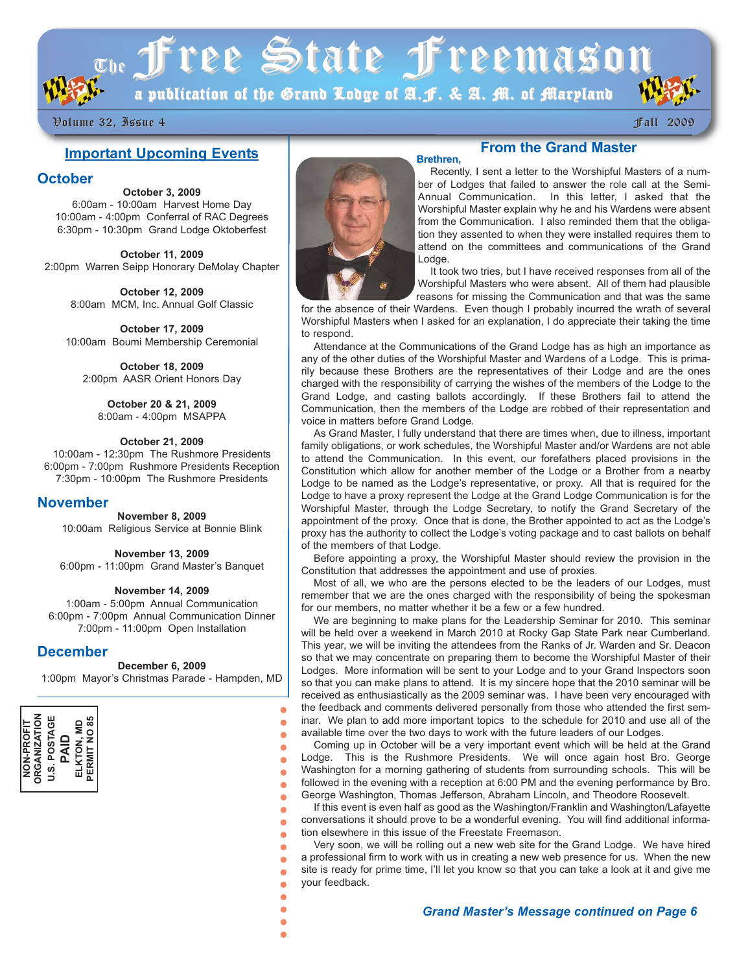$T_{\rm T}$  of the State Freemason

a publication of the Grand Lodge of A.J. & A. M. of Maryland

# Volume 32, Issue 4 Volume 32, Issue 4 Fall 2009 Fall 2009

# **Important Upcoming Events**

## **October**

**October 3, 2009** 6:00am - 10:00am Harvest Home Day 10:00am - 4:00pm Conferral of RAC Degrees 6:30pm - 10:30pm Grand Lodge Oktoberfest

**October 11, 2009** 2:00pm Warren Seipp Honorary DeMolay Chapter

> **October 12, 2009** 8:00am MCM, Inc. Annual Golf Classic

**October 17, 2009** 10:00am Boumi Membership Ceremonial

**October 18, 2009** 2:00pm AASR Orient Honors Day

**October 20 & 21, 2009** 8:00am - 4:00pm MSAPPA

#### **October 21, 2009**

10:00am - 12:30pm The Rushmore Presidents 6:00pm - 7:00pm Rushmore Presidents Reception 7:30pm - 10:00pm The Rushmore Presidents

## **November**

**November 8, 2009** 10:00am Religious Service at Bonnie Blink

**November 13, 2009** 6:00pm - 11:00pm Grand Master's Banquet

#### **November 14, 2009**

1:00am - 5:00pm Annual Communication 6:00pm - 7:00pm Annual Communication Dinner 7:00pm - 11:00pm Open Installation

## **December**

#### **December 6, 2009**

1:00pm Mayor's Christmas Parade - Hampden, MD

 $\bullet$ 

 $\bullet$  $\bullet$  $\bullet$  $\bullet$  $\bullet$  $\bullet$  $\bullet$  $\bullet$  $\bullet$  $\bullet$  $\bullet$  $\bullet$ 

 $\bullet$  $\bullet$  $\bullet$ 





# **From the Grand Master**

Recently, I sent a letter to the Worshipful Masters of a number of Lodges that failed to answer the role call at the Semi-Annual Communication. In this letter, I asked that the Worshipful Master explain why he and his Wardens were absent from the Communication. I also reminded them that the obligation they assented to when they were installed requires them to attend on the committees and communications of the Grand Lodge.

It took two tries, but I have received responses from all of the Worshipful Masters who were absent. All of them had plausible reasons for missing the Communication and that was the same

for the absence of their Wardens. Even though I probably incurred the wrath of several Worshipful Masters when I asked for an explanation, I do appreciate their taking the time to respond.

Attendance at the Communications of the Grand Lodge has as high an importance as any of the other duties of the Worshipful Master and Wardens of a Lodge. This is primarily because these Brothers are the representatives of their Lodge and are the ones charged with the responsibility of carrying the wishes of the members of the Lodge to the Grand Lodge, and casting ballots accordingly. If these Brothers fail to attend the Communication, then the members of the Lodge are robbed of their representation and voice in matters before Grand Lodge.

As Grand Master, I fully understand that there are times when, due to illness, important family obligations, or work schedules, the Worshipful Master and/or Wardens are not able to attend the Communication. In this event, our forefathers placed provisions in the Constitution which allow for another member of the Lodge or a Brother from a nearby Lodge to be named as the Lodge's representative, or proxy. All that is required for the Lodge to have a proxy represent the Lodge at the Grand Lodge Communication is for the Worshipful Master, through the Lodge Secretary, to notify the Grand Secretary of the appointment of the proxy. Once that is done, the Brother appointed to act as the Lodge's proxy has the authority to collect the Lodge's voting package and to cast ballots on behalf of the members of that Lodge.

Before appointing a proxy, the Worshipful Master should review the provision in the Constitution that addresses the appointment and use of proxies.

Most of all, we who are the persons elected to be the leaders of our Lodges, must remember that we are the ones charged with the responsibility of being the spokesman for our members, no matter whether it be a few or a few hundred.

We are beginning to make plans for the Leadership Seminar for 2010. This seminar will be held over a weekend in March 2010 at Rocky Gap State Park near Cumberland. This year, we will be inviting the attendees from the Ranks of Jr. Warden and Sr. Deacon so that we may concentrate on preparing them to become the Worshipful Master of their Lodges. More information will be sent to your Lodge and to your Grand Inspectors soon so that you can make plans to attend. It is my sincere hope that the 2010 seminar will be received as enthusiastically as the 2009 seminar was. I have been very encouraged with the feedback and comments delivered personally from those who attended the first seminar. We plan to add more important topics to the schedule for 2010 and use all of the available time over the two days to work with the future leaders of our Lodges.

Coming up in October will be a very important event which will be held at the Grand Lodge. This is the Rushmore Presidents. We will once again host Bro. George Washington for a morning gathering of students from surrounding schools. This will be followed in the evening with a reception at 6:00 PM and the evening performance by Bro. George Washington, Thomas Jefferson, Abraham Lincoln, and Theodore Roosevelt.

If this event is even half as good as the Washington/Franklin and Washington/Lafayette conversations it should prove to be a wonderful evening. You will find additional information elsewhere in this issue of the Freestate Freemason.

Very soon, we will be rolling out a new web site for the Grand Lodge. We have hired a professional firm to work with us in creating a new web presence for us. When the new site is ready for prime time, I'll let you know so that you can take a look at it and give me your feedback.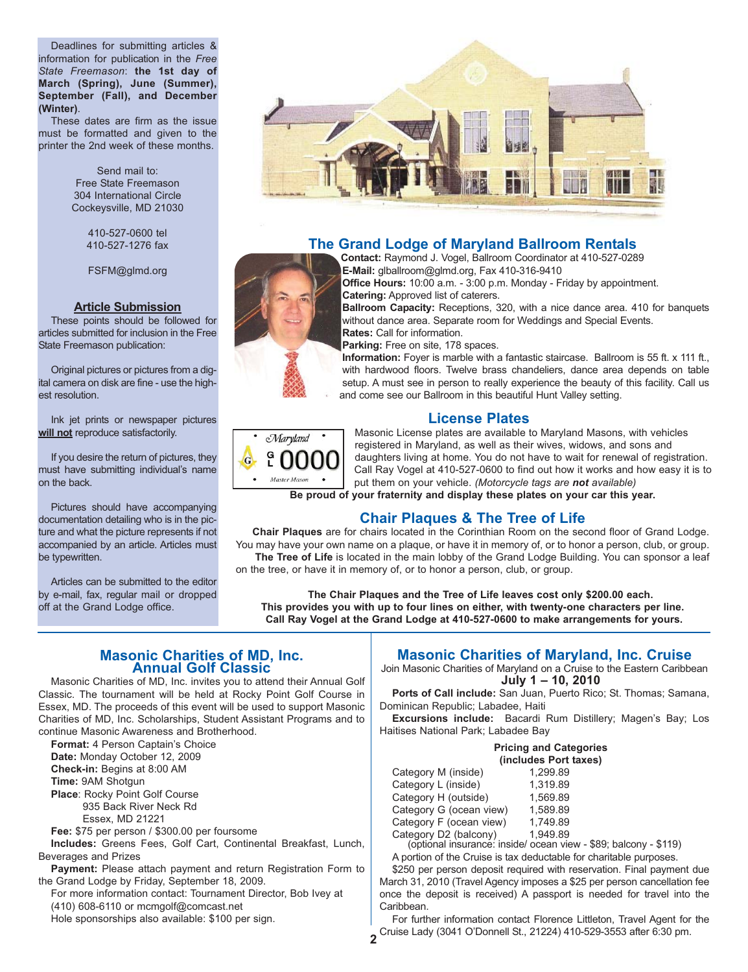Deadlines for submitting articles & information for publication in the *Free State Freemason*: **the 1st day of March (Spring), June (Summer), September (Fall), and December (Winter)**.

These dates are firm as the issue must be formatted and given to the printer the 2nd week of these months.

> Send mail to: Free State Freemason 304 International Circle Cockeysville, MD 21030

> > 410-527-0600 tel 410-527-1276 fax

FSFM@glmd.org

#### **Article Submission**

These points should be followed for articles submitted for inclusion in the Free State Freemason publication:

Original pictures or pictures from a digital camera on disk are fine - use the highest resolution.

Ink jet prints or newspaper pictures **will not** reproduce satisfactorily.

If you desire the return of pictures, they must have submitting individual's name on the back.

Pictures should have accompanying documentation detailing who is in the picture and what the picture represents if not accompanied by an article. Articles must be typewritten.

Articles can be submitted to the editor by e-mail, fax, regular mail or dropped off at the Grand Lodge office.



# **The Grand Lodge of Maryland Ballroom Rentals**

**Contact:** Raymond J. Vogel, Ballroom Coordinator at 410-527-0289 **E-Mail:** glballroom@glmd.org, Fax 410-316-9410

**Office Hours:** 10:00 a.m. - 3:00 p.m. Monday - Friday by appointment. **Catering:** Approved list of caterers.

**Ballroom Capacity:** Receptions, 320, with a nice dance area. 410 for banquets without dance area. Separate room for Weddings and Special Events. **Rates:** Call for information.

**Parking:** Free on site, 178 spaces.

**Information:** Foyer is marble with a fantastic staircase. Ballroom is 55 ft. x 111 ft., with hardwood floors. Twelve brass chandeliers, dance area depends on table setup. A must see in person to really experience the beauty of this facility. Call us and come see our Ballroom in this beautiful Hunt Valley setting.

## **License Plates**



Masonic License plates are available to Maryland Masons, with vehicles registered in Maryland, as well as their wives, widows, and sons and daughters living at home. You do not have to wait for renewal of registration. Call Ray Vogel at 410-527-0600 to find out how it works and how easy it is to put them on your vehicle. *(Motorcycle tags are not available)*

**Be proud of your fraternity and display these plates on your car this year.**

# **Chair Plaques & The Tree of Life**

**Chair Plaques** are for chairs located in the Corinthian Room on the second floor of Grand Lodge. You may have your own name on a plaque, or have it in memory of, or to honor a person, club, or group. The Tree of Life is located in the main lobby of the Grand Lodge Building. You can sponsor a leaf

on the tree, or have it in memory of, or to honor a person, club, or group.

**2**

**The Chair Plaques and the Tree of Life leaves cost only \$200.00 each. This provides you with up to four lines on either, with twenty-one characters per line. Call Ray Vogel at the Grand Lodge at 410-527-0600 to make arrangements for yours.**

# **Masonic Charities of MD, Inc. Annual Golf Classic**

Masonic Charities of MD, Inc. invites you to attend their Annual Golf Classic. The tournament will be held at Rocky Point Golf Course in Essex, MD. The proceeds of this event will be used to support Masonic Charities of MD, Inc. Scholarships, Student Assistant Programs and to continue Masonic Awareness and Brotherhood.

**Format:** 4 Person Captain's Choice **Date:** Monday October 12, 2009 **Check-in:** Begins at 8:00 AM **Time:** 9AM Shotgun **Place**: Rocky Point Golf Course 935 Back River Neck Rd

Essex, MD 21221

**Fee:** \$75 per person / \$300.00 per foursome

**Includes:** Greens Fees, Golf Cart, Continental Breakfast, Lunch, Beverages and Prizes

**Payment:** Please attach payment and return Registration Form to the Grand Lodge by Friday, September 18, 2009.

For more information contact: Tournament Director, Bob Ivey at (410) 608-6110 or mcmgolf@comcast.net Hole sponsorships also available: \$100 per sign.

# **Masonic Charities of Maryland, Inc. Cruise**

Join Masonic Charities of Maryland on a Cruise to the Eastern Caribbean **July 1 – 10, 2010**

**Ports of Call include:** San Juan, Puerto Rico; St. Thomas; Samana, Dominican Republic; Labadee, Haiti

**Excursions include:** Bacardi Rum Distillery; Magen's Bay; Los Haitises National Park; Labadee Bay

|                         | <b>Pricing and Categories</b> |  |
|-------------------------|-------------------------------|--|
|                         | (includes Port taxes)         |  |
| Category M (inside)     | 1.299.89                      |  |
| Category L (inside)     | 1,319.89                      |  |
| Category H (outside)    | 1,569.89                      |  |
| Category G (ocean view) | 1.589.89                      |  |

| Category G (ocean view)           | 1,589.89 |
|-----------------------------------|----------|
| Category F (ocean view)           | 1,749.89 |
| Category D <sub>2</sub> (balcony) | 1 949 89 |

 $\overline{C}$  (optional insurance: inside/ ocean view - \$89; balcony - \$119) A portion of the Cruise is tax deductable for charitable purposes.

\$250 per person deposit required with reservation. Final payment due March 31, 2010 (Travel Agency imposes a \$25 per person cancellation fee once the deposit is received) A passport is needed for travel into the Caribbean.

For further information contact Florence Littleton, Travel Agent for the Cruise Lady (3041 O'Donnell St., 21224) 410-529-3553 after 6:30 pm.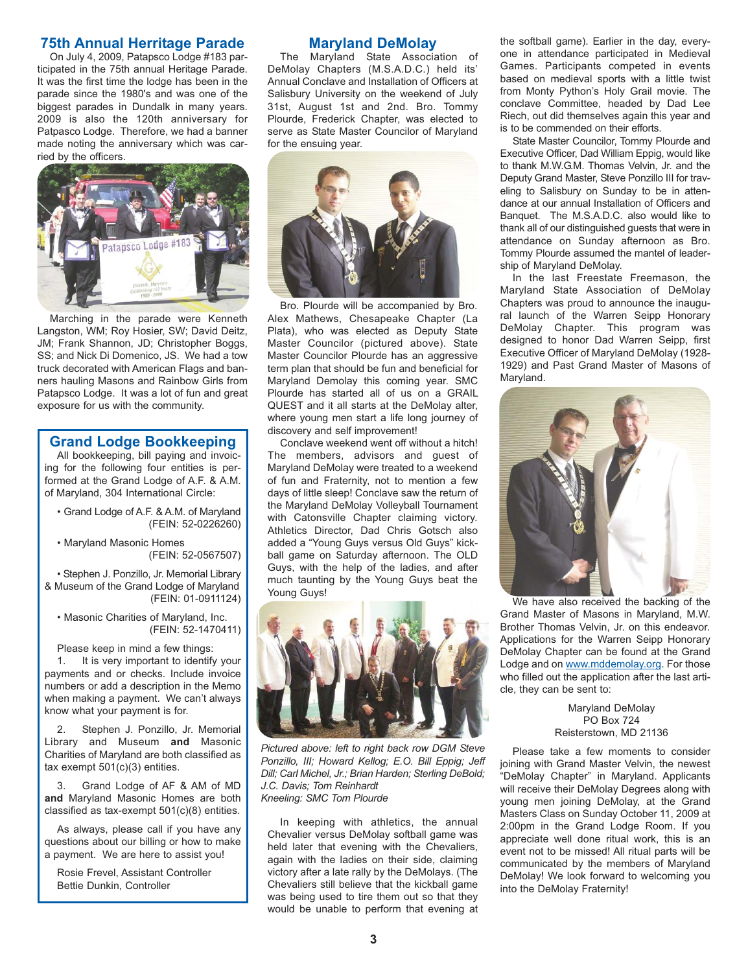# **75th Annual Herritage Parade**

On July 4, 2009, Patapsco Lodge #183 participated in the 75th annual Heritage Parade. It was the first time the lodge has been in the parade since the 1980's and was one of the biggest parades in Dundalk in many years. 2009 is also the 120th anniversary for Patpasco Lodge. Therefore, we had a banner made noting the anniversary which was carried by the officers.



Marching in the parade were Kenneth Langston, WM; Roy Hosier, SW; David Deitz, JM; Frank Shannon, JD; Christopher Boggs, SS; and Nick Di Domenico, JS. We had a tow truck decorated with American Flags and banners hauling Masons and Rainbow Girls from Patapsco Lodge. It was a lot of fun and great exposure for us with the community.

# **Grand Lodge Bookkeeping**

All bookkeeping, bill paying and invoicing for the following four entities is performed at the Grand Lodge of A.F. & A.M. of Maryland, 304 International Circle:

- Grand Lodge of A.F. & A.M. of Maryland (FEIN: 52-0226260)
- Maryland Masonic Homes (FEIN: 52-0567507)

• Stephen J. Ponzillo, Jr. Memorial Library & Museum of the Grand Lodge of Maryland (FEIN: 01-0911124)

• Masonic Charities of Maryland, Inc. (FEIN: 52-1470411)

Please keep in mind a few things:

1. It is very important to identify your payments and or checks. Include invoice numbers or add a description in the Memo when making a payment. We can't always know what your payment is for.

2. Stephen J. Ponzillo, Jr. Memorial Library and Museum **and** Masonic Charities of Maryland are both classified as tax exempt  $501(c)(3)$  entities.

3. Grand Lodge of AF & AM of MD **and** Maryland Masonic Homes are both classified as tax-exempt 501(c)(8) entities.

As always, please call if you have any questions about our billing or how to make a payment. We are here to assist you!

Rosie Frevel, Assistant Controller Bettie Dunkin, Controller

# **Maryland DeMolay**

The Maryland State Association of DeMolay Chapters (M.S.A.D.C.) held its' Annual Conclave and Installation of Officers at Salisbury University on the weekend of July 31st, August 1st and 2nd. Bro. Tommy Plourde, Frederick Chapter, was elected to serve as State Master Councilor of Maryland for the ensuing year.



Bro. Plourde will be accompanied by Bro. Alex Mathews, Chesapeake Chapter (La Plata), who was elected as Deputy State Master Councilor (pictured above). State Master Councilor Plourde has an aggressive term plan that should be fun and beneficial for Maryland Demolay this coming year. SMC Plourde has started all of us on a GRAIL QUEST and it all starts at the DeMolay alter, where young men start a life long journey of discovery and self improvement!

Conclave weekend went off without a hitch! The members, advisors and guest of Maryland DeMolay were treated to a weekend of fun and Fraternity, not to mention a few days of little sleep! Conclave saw the return of the Maryland DeMolay Volleyball Tournament with Catonsville Chapter claiming victory. Athletics Director, Dad Chris Gotsch also added a "Young Guys versus Old Guys" kickball game on Saturday afternoon. The OLD Guys, with the help of the ladies, and after much taunting by the Young Guys beat the Young Guys!



*Pictured above: left to right back row DGM Steve Ponzillo, III; Howard Kellog; E.O. Bill Eppig; Jeff Dill; Carl Michel, Jr.; Brian Harden; Sterling DeBold; J.C. Davis; Tom Reinhardt Kneeling: SMC Tom Plourde*

In keeping with athletics, the annual Chevalier versus DeMolay softball game was held later that evening with the Chevaliers, again with the ladies on their side, claiming victory after a late rally by the DeMolays. (The Chevaliers still believe that the kickball game was being used to tire them out so that they would be unable to perform that evening at

the softball game). Earlier in the day, everyone in attendance participated in Medieval Games. Participants competed in events based on medieval sports with a little twist from Monty Python's Holy Grail movie. The conclave Committee, headed by Dad Lee Riech, out did themselves again this year and is to be commended on their efforts.

State Master Councilor, Tommy Plourde and Executive Officer, Dad William Eppig, would like to thank M.W.G.M. Thomas Velvin, Jr. and the Deputy Grand Master, Steve Ponzillo III for traveling to Salisbury on Sunday to be in attendance at our annual Installation of Officers and Banquet. The M.S.A.D.C. also would like to thank all of our distinguished guests that were in attendance on Sunday afternoon as Bro. Tommy Plourde assumed the mantel of leadership of Maryland DeMolay.

In the last Freestate Freemason, the Maryland State Association of DeMolay Chapters was proud to announce the inaugural launch of the Warren Seipp Honorary DeMolay Chapter. This program was designed to honor Dad Warren Seipp, first Executive Officer of Maryland DeMolay (1928- 1929) and Past Grand Master of Masons of Maryland.



We have also received the backing of the Grand Master of Masons in Maryland, M.W. Brother Thomas Velvin, Jr. on this endeavor. Applications for the Warren Seipp Honorary DeMolay Chapter can be found at the Grand Lodge and on www.mddemolay.org. For those who filled out the application after the last article, they can be sent to:

> Maryland DeMolay PO Box 724 Reisterstown, MD 21136

Please take a few moments to consider joining with Grand Master Velvin, the newest "DeMolay Chapter" in Maryland. Applicants will receive their DeMolay Degrees along with young men joining DeMolay, at the Grand Masters Class on Sunday October 11, 2009 at 2:00pm in the Grand Lodge Room. If you appreciate well done ritual work, this is an event not to be missed! All ritual parts will be communicated by the members of Maryland DeMolay! We look forward to welcoming you into the DeMolay Fraternity!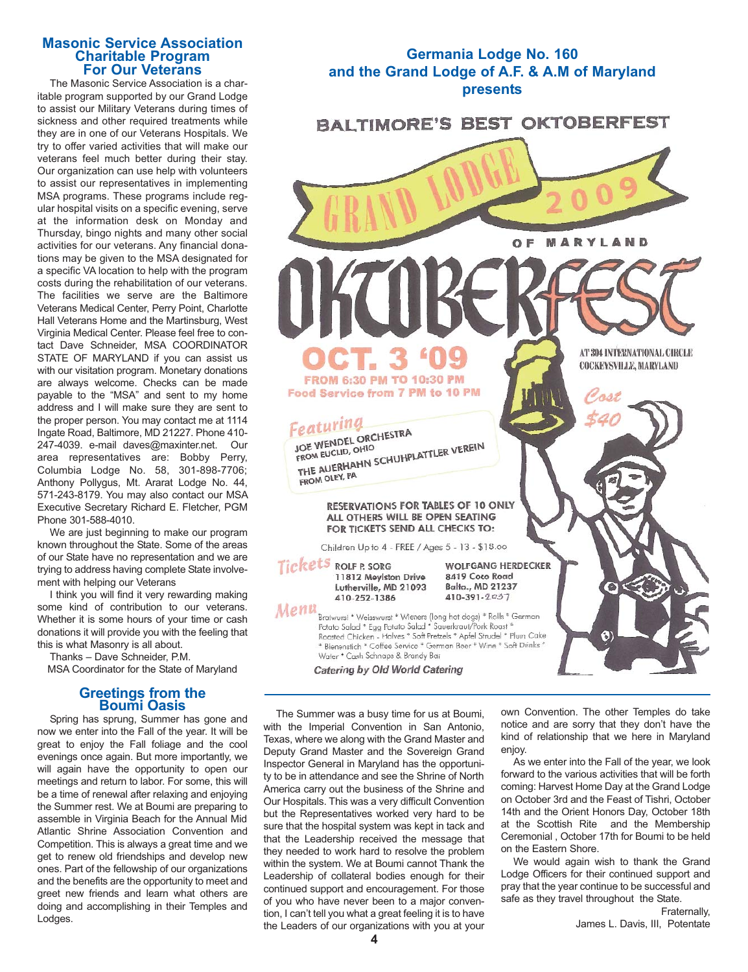#### **Masonic Service Association Charitable Program For Our Veterans**

The Masonic Service Association is a charitable program supported by our Grand Lodge to assist our Military Veterans during times of sickness and other required treatments while they are in one of our Veterans Hospitals. We try to offer varied activities that will make our veterans feel much better during their stay. Our organization can use help with volunteers to assist our representatives in implementing MSA programs. These programs include regular hospital visits on a specific evening, serve at the information desk on Monday and Thursday, bingo nights and many other social activities for our veterans. Any financial donations may be given to the MSA designated for a specific VA location to help with the program costs during the rehabilitation of our veterans. The facilities we serve are the Baltimore Veterans Medical Center, Perry Point, Charlotte Hall Veterans Home and the Martinsburg, West Virginia Medical Center. Please feel free to contact Dave Schneider, MSA COORDINATOR STATE OF MARYLAND if you can assist us with our visitation program. Monetary donations are always welcome. Checks can be made payable to the "MSA" and sent to my home address and I will make sure they are sent to the proper person. You may contact me at 1114 Ingate Road, Baltimore, MD 21227. Phone 410- 247-4039. e-mail daves@maxinter.net. Our area representatives are: Bobby Perry, Columbia Lodge No. 58, 301-898-7706; Anthony Pollygus, Mt. Ararat Lodge No. 44, 571-243-8179. You may also contact our MSA Executive Secretary Richard E. Fletcher, PGM Phone 301-588-4010.

We are just beginning to make our program known throughout the State. Some of the areas of our State have no representation and we are trying to address having complete State involvement with helping our Veterans

I think you will find it very rewarding making some kind of contribution to our veterans. Whether it is some hours of your time or cash donations it will provide you with the feeling that this is what Masonry is all about.

Thanks – Dave Schneider, P.M.

MSA Coordinator for the State of Maryland

# **Greetings from the Boumi Oasis**

Spring has sprung, Summer has gone and now we enter into the Fall of the year. It will be great to enjoy the Fall foliage and the cool evenings once again. But more importantly, we will again have the opportunity to open our meetings and return to labor. For some, this will be a time of renewal after relaxing and enjoying the Summer rest. We at Boumi are preparing to assemble in Virginia Beach for the Annual Mid Atlantic Shrine Association Convention and Competition. This is always a great time and we get to renew old friendships and develop new ones. Part of the fellowship of our organizations and the benefits are the opportunity to meet and greet new friends and learn what others are doing and accomplishing in their Temples and Lodges.



The Summer was a busy time for us at Boumi, with the Imperial Convention in San Antonio, Texas, where we along with the Grand Master and Deputy Grand Master and the Sovereign Grand Inspector General in Maryland has the opportunity to be in attendance and see the Shrine of North America carry out the business of the Shrine and Our Hospitals. This was a very difficult Convention but the Representatives worked very hard to be sure that the hospital system was kept in tack and that the Leadership received the message that they needed to work hard to resolve the problem within the system. We at Boumi cannot Thank the Leadership of collateral bodies enough for their continued support and encouragement. For those of you who have never been to a major convention, I can't tell you what a great feeling it is to have the Leaders of our organizations with you at your

own Convention. The other Temples do take notice and are sorry that they don't have the kind of relationship that we here in Maryland enjoy.

As we enter into the Fall of the year, we look forward to the various activities that will be forth coming: Harvest Home Day at the Grand Lodge on October 3rd and the Feast of Tishri, October 14th and the Orient Honors Day, October 18th at the Scottish Rite and the Membership Ceremonial , October 17th for Boumi to be held on the Eastern Shore.

We would again wish to thank the Grand Lodge Officers for their continued support and pray that the year continue to be successful and safe as they travel throughout the State.

Fraternally, James L. Davis, III, Potentate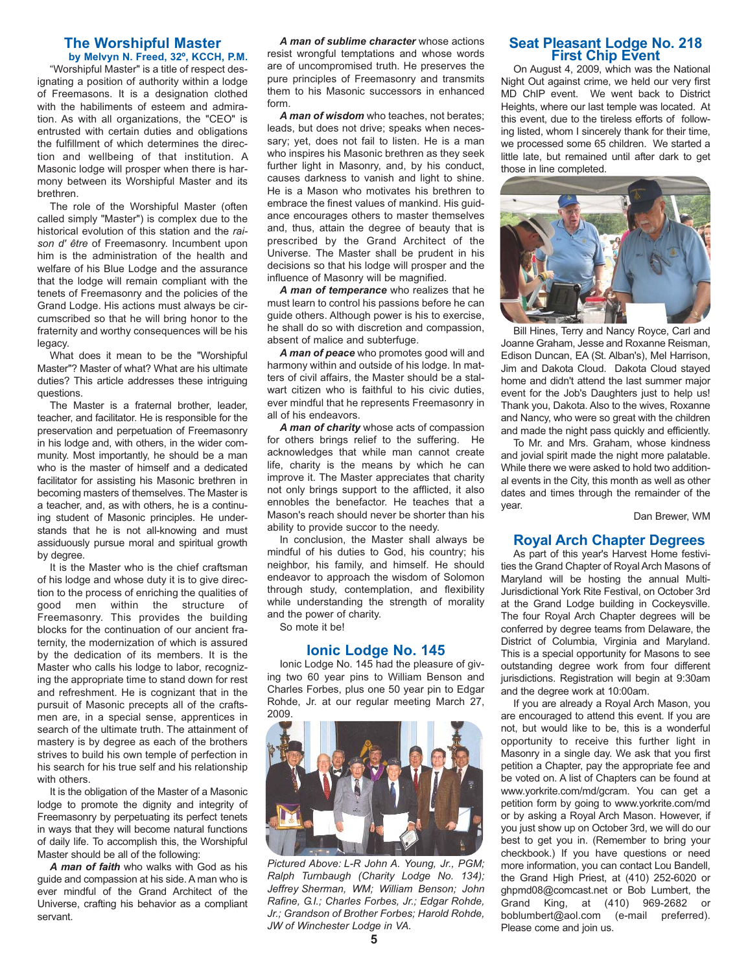# **The Worshipful Master**

**by Melvyn N. Freed, 32º, KCCH, P.M.** "Worshipful Master" is a title of respect designating a position of authority within a lodge of Freemasons. It is a designation clothed with the habiliments of esteem and admiration. As with all organizations, the "CEO" is entrusted with certain duties and obligations the fulfillment of which determines the direction and wellbeing of that institution. A Masonic lodge will prosper when there is harmony between its Worshipful Master and its brethren.

The role of the Worshipful Master (often called simply "Master") is complex due to the historical evolution of this station and the *raison d' être* of Freemasonry. Incumbent upon him is the administration of the health and welfare of his Blue Lodge and the assurance that the lodge will remain compliant with the tenets of Freemasonry and the policies of the Grand Lodge. His actions must always be circumscribed so that he will bring honor to the fraternity and worthy consequences will be his legacy.

What does it mean to be the "Worshipful Master"? Master of what? What are his ultimate duties? This article addresses these intriguing questions.

The Master is a fraternal brother, leader, teacher, and facilitator. He is responsible for the preservation and perpetuation of Freemasonry in his lodge and, with others, in the wider community. Most importantly, he should be a man who is the master of himself and a dedicated facilitator for assisting his Masonic brethren in becoming masters of themselves. The Master is a teacher, and, as with others, he is a continuing student of Masonic principles. He understands that he is not all-knowing and must assiduously pursue moral and spiritual growth by degree.

It is the Master who is the chief craftsman of his lodge and whose duty it is to give direction to the process of enriching the qualities of good men within the structure of Freemasonry. This provides the building blocks for the continuation of our ancient fraternity, the modernization of which is assured by the dedication of its members. It is the Master who calls his lodge to labor, recognizing the appropriate time to stand down for rest and refreshment. He is cognizant that in the pursuit of Masonic precepts all of the craftsmen are, in a special sense, apprentices in search of the ultimate truth. The attainment of mastery is by degree as each of the brothers strives to build his own temple of perfection in his search for his true self and his relationship with others.

It is the obligation of the Master of a Masonic lodge to promote the dignity and integrity of Freemasonry by perpetuating its perfect tenets in ways that they will become natural functions of daily life. To accomplish this, the Worshipful Master should be all of the following:

*A man of faith* who walks with God as his guide and compassion at his side. A man who is ever mindful of the Grand Architect of the Universe, crafting his behavior as a compliant servant.

*A man of sublime character* whose actions resist wrongful temptations and whose words are of uncompromised truth. He preserves the pure principles of Freemasonry and transmits them to his Masonic successors in enhanced form.

*A man of wisdom* who teaches, not berates; leads, but does not drive; speaks when necessary; yet, does not fail to listen. He is a man who inspires his Masonic brethren as they seek further light in Masonry, and, by his conduct, causes darkness to vanish and light to shine. He is a Mason who motivates his brethren to embrace the finest values of mankind. His guidance encourages others to master themselves and, thus, attain the degree of beauty that is prescribed by the Grand Architect of the Universe. The Master shall be prudent in his decisions so that his lodge will prosper and the influence of Masonry will be magnified.

*A man of temperance* who realizes that he must learn to control his passions before he can guide others. Although power is his to exercise, he shall do so with discretion and compassion, absent of malice and subterfuge.

*A man of peace* who promotes good will and harmony within and outside of his lodge. In matters of civil affairs, the Master should be a stalwart citizen who is faithful to his civic duties, ever mindful that he represents Freemasonry in all of his endeavors.

*A man of charity* whose acts of compassion for others brings relief to the suffering. He acknowledges that while man cannot create life, charity is the means by which he can improve it. The Master appreciates that charity not only brings support to the afflicted, it also ennobles the benefactor. He teaches that a Mason's reach should never be shorter than his ability to provide succor to the needy.

In conclusion, the Master shall always be mindful of his duties to God, his country; his neighbor, his family, and himself. He should endeavor to approach the wisdom of Solomon through study, contemplation, and flexibility while understanding the strength of morality and the power of charity.

So mote it be!

#### **Ionic Lodge No. 145**

Ionic Lodge No. 145 had the pleasure of giving two 60 year pins to William Benson and Charles Forbes, plus one 50 year pin to Edgar Rohde, Jr. at our regular meeting March 27, 2009.



*Pictured Above: L-R John A. Young, Jr., PGM; Ralph Turnbaugh (Charity Lodge No. 134); Jeffrey Sherman, WM; William Benson; John Rafine, G.I.; Charles Forbes, Jr.; Edgar Rohde, Jr.; Grandson of Brother Forbes; Harold Rohde, JW of Winchester Lodge in VA.*

# **Seat Pleasant Lodge No. 218 First Chip Event**

On August 4, 2009, which was the National Night Out against crime, we held our very first MD ChIP event. We went back to District Heights, where our last temple was located. At this event, due to the tireless efforts of following listed, whom I sincerely thank for their time, we processed some 65 children. We started a little late, but remained until after dark to get those in line completed.



Bill Hines, Terry and Nancy Royce, Carl and Joanne Graham, Jesse and Roxanne Reisman, Edison Duncan, EA (St. Alban's), Mel Harrison, Jim and Dakota Cloud. Dakota Cloud stayed home and didn't attend the last summer major event for the Job's Daughters just to help us! Thank you, Dakota. Also to the wives, Roxanne and Nancy, who were so great with the children and made the night pass quickly and efficiently.

To Mr. and Mrs. Graham, whose kindness and jovial spirit made the night more palatable. While there we were asked to hold two additional events in the City, this month as well as other dates and times through the remainder of the year.

Dan Brewer, WM

## **Royal Arch Chapter Degrees**

As part of this year's Harvest Home festivities the Grand Chapter of Royal Arch Masons of Maryland will be hosting the annual Multi-Jurisdictional York Rite Festival, on October 3rd at the Grand Lodge building in Cockeysville. The four Royal Arch Chapter degrees will be conferred by degree teams from Delaware, the District of Columbia, Virginia and Maryland. This is a special opportunity for Masons to see outstanding degree work from four different jurisdictions. Registration will begin at 9:30am and the degree work at 10:00am.

If you are already a Royal Arch Mason, you are encouraged to attend this event. If you are not, but would like to be, this is a wonderful opportunity to receive this further light in Masonry in a single day. We ask that you first petition a Chapter, pay the appropriate fee and be voted on. A list of Chapters can be found at www.yorkrite.com/md/gcram. You can get a petition form by going to www.yorkrite.com/md or by asking a Royal Arch Mason. However, if you just show up on October 3rd, we will do our best to get you in. (Remember to bring your checkbook.) If you have questions or need more information, you can contact Lou Bandell, the Grand High Priest, at (410) 252-6020 or ghpmd08@comcast.net or Bob Lumbert, the Grand King, at (410) 969-2682 or boblumbert@aol.com (e-mail preferred). Please come and join us.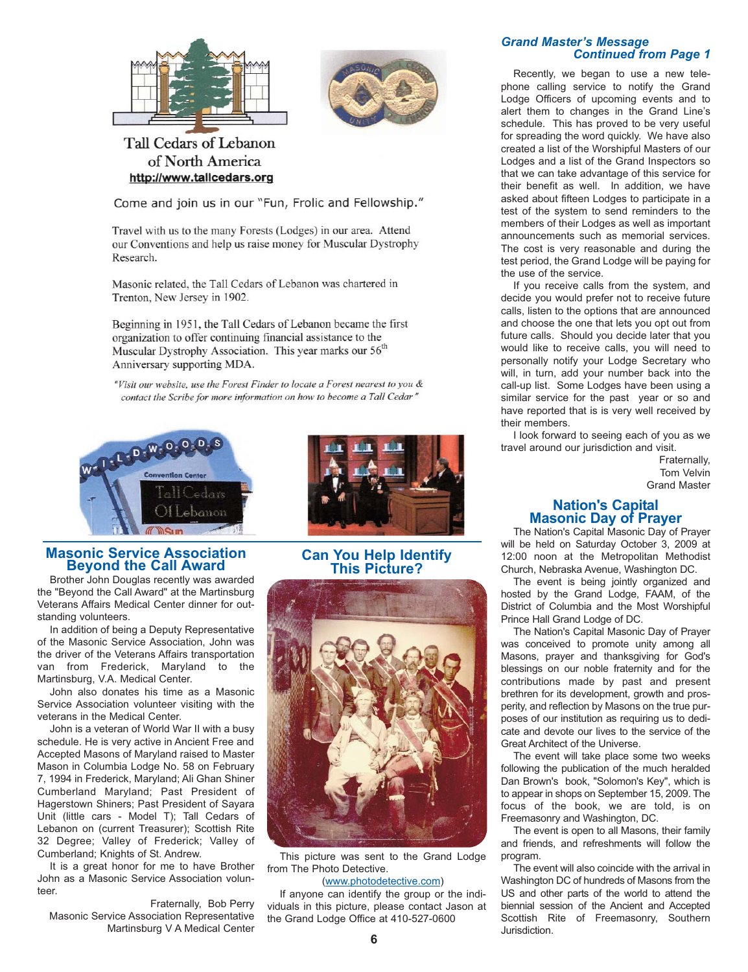



# Tall Cedars of Lebanon of North America http://www.tallcedars.org

Come and join us in our "Fun, Frolic and Fellowship."

Travel with us to the many Forests (Lodges) in our area. Attend our Conventions and help us raise money for Muscular Dystrophy Research.

Masonic related, the Tall Cedars of Lebanon was chartered in Trenton, New Jersey in 1902.

Beginning in 1951, the Tall Cedars of Lebanon became the first organization to offer continuing financial assistance to the Muscular Dystrophy Association. This year marks our 56<sup>th</sup> Anniversary supporting MDA.

"Visit our website, use the Forest Finder to locate a Forest nearest to you & contact the Scribe for more information on how to become a Tall Cedar"





Brother John Douglas recently was awarded the "Beyond the Call Award" at the Martinsburg Veterans Affairs Medical Center dinner for outstanding volunteers.

In addition of being a Deputy Representative of the Masonic Service Association, John was the driver of the Veterans Affairs transportation van from Frederick, Maryland to the Martinsburg, V.A. Medical Center.

John also donates his time as a Masonic Service Association volunteer visiting with the veterans in the Medical Center.

John is a veteran of World War II with a busy schedule. He is very active in Ancient Free and Accepted Masons of Maryland raised to Master Mason in Columbia Lodge No. 58 on February 7, 1994 in Frederick, Maryland; Ali Ghan Shiner Cumberland Maryland; Past President of Hagerstown Shiners; Past President of Sayara Unit (little cars - Model T); Tall Cedars of Lebanon on (current Treasurer); Scottish Rite 32 Degree; Valley of Frederick; Valley of Cumberland; Knights of St. Andrew.

It is a great honor for me to have Brother John as a Masonic Service Association volunteer.

Fraternally, Bob Perry Masonic Service Association Representative Martinsburg V A Medical Center



# **Can You Help Identify This Picture?**



This picture was sent to the Grand Lodge from The Photo Detective.

#### (www.photodetective.com)

If anyone can identify the group or the individuals in this picture, please contact Jason at the Grand Lodge Office at 410-527-0600

#### *Grand Master's Message Continued from Page 1*

Recently, we began to use a new telephone calling service to notify the Grand Lodge Officers of upcoming events and to alert them to changes in the Grand Line's schedule. This has proved to be very useful for spreading the word quickly. We have also created a list of the Worshipful Masters of our Lodges and a list of the Grand Inspectors so that we can take advantage of this service for their benefit as well. In addition, we have asked about fifteen Lodges to participate in a test of the system to send reminders to the members of their Lodges as well as important announcements such as memorial services. The cost is very reasonable and during the test period, the Grand Lodge will be paying for the use of the service.

If you receive calls from the system, and decide you would prefer not to receive future calls, listen to the options that are announced and choose the one that lets you opt out from future calls. Should you decide later that you would like to receive calls, you will need to personally notify your Lodge Secretary who will, in turn, add your number back into the call-up list. Some Lodges have been using a similar service for the past year or so and have reported that is is very well received by their members.

I look forward to seeing each of you as we travel around our jurisdiction and visit.

Fraternally, Tom Velvin Grand Master

# **Nation's Capital Masonic Day of Prayer**

The Nation's Capital Masonic Day of Prayer will be held on Saturday October 3, 2009 at 12:00 noon at the Metropolitan Methodist Church, Nebraska Avenue, Washington DC.

The event is being jointly organized and hosted by the Grand Lodge, FAAM, of the District of Columbia and the Most Worshipful Prince Hall Grand Lodge of DC.

The Nation's Capital Masonic Day of Prayer was conceived to promote unity among all Masons, prayer and thanksgiving for God's blessings on our noble fraternity and for the contributions made by past and present brethren for its development, growth and prosperity, and reflection by Masons on the true purposes of our institution as requiring us to dedicate and devote our lives to the service of the Great Architect of the Universe.

The event will take place some two weeks following the publication of the much heralded Dan Brown's book, "Solomon's Key", which is to appear in shops on September 15, 2009. The focus of the book, we are told, is on Freemasonry and Washington, DC.

The event is open to all Masons, their family and friends, and refreshments will follow the program.

The event will also coincide with the arrival in Washington DC of hundreds of Masons from the US and other parts of the world to attend the biennial session of the Ancient and Accepted Scottish Rite of Freemasonry, Southern Jurisdiction.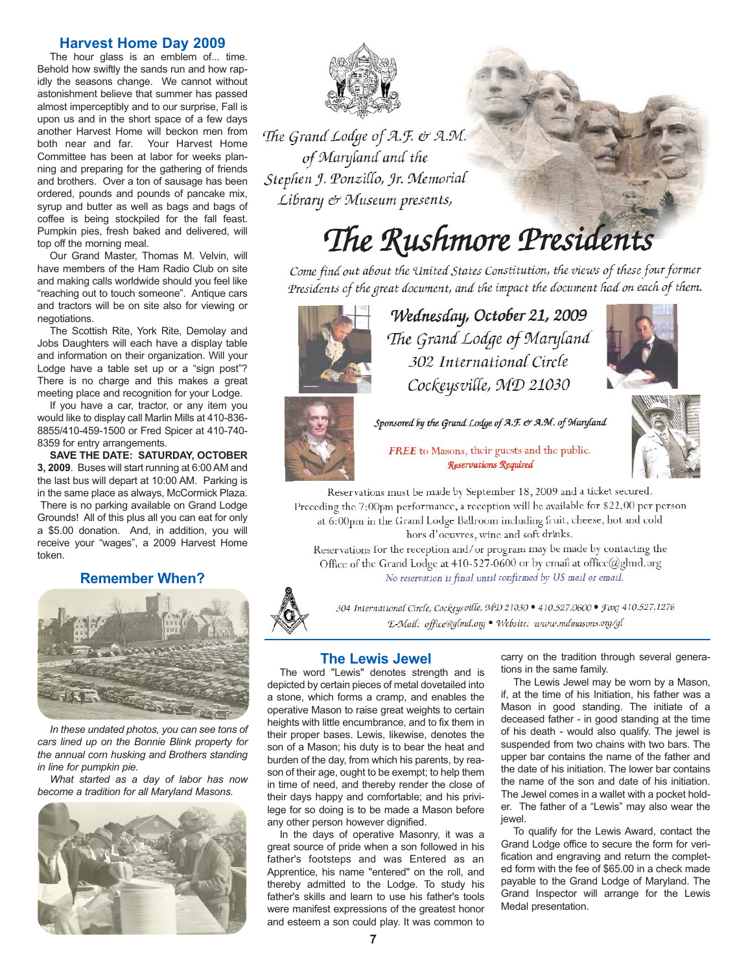## **Harvest Home Day 2009**

The hour glass is an emblem of... time. Behold how swiftly the sands run and how rapidly the seasons change. We cannot without astonishment believe that summer has passed almost imperceptibly and to our surprise, Fall is upon us and in the short space of a few days another Harvest Home will beckon men from both near and far. Your Harvest Home Committee has been at labor for weeks planning and preparing for the gathering of friends and brothers. Over a ton of sausage has been ordered, pounds and pounds of pancake mix, syrup and butter as well as bags and bags of coffee is being stockpiled for the fall feast. Pumpkin pies, fresh baked and delivered, will top off the morning meal.

Our Grand Master, Thomas M. Velvin, will have members of the Ham Radio Club on site and making calls worldwide should you feel like "reaching out to touch someone". Antique cars and tractors will be on site also for viewing or negotiations.

The Scottish Rite, York Rite, Demolay and Jobs Daughters will each have a display table and information on their organization. Will your Lodge have a table set up or a "sign post"? There is no charge and this makes a great meeting place and recognition for your Lodge.

If you have a car, tractor, or any item you would like to display call Marlin Mills at 410-836- 8855/410-459-1500 or Fred Spicer at 410-740- 8359 for entry arrangements.

**SAVE THE DATE: SATURDAY, OCTOBER 3, 2009**. Buses will start running at 6:00 AM and the last bus will depart at 10:00 AM. Parking is in the same place as always, McCormick Plaza. There is no parking available on Grand Lodge Grounds! All of this plus all you can eat for only a \$5.00 donation. And, in addition, you will receive your "wages", a 2009 Harvest Home token.

# **Remember When?**



*In these undated photos, you can see tons of cars lined up on the Bonnie Blink property for the annual corn husking and Brothers standing in line for pumpkin pie.*

*What started as a day of labor has now become a tradition for all Maryland Masons.*





The Grand Lodge of A.F. & A.M. of Maryland and the Stephen J. Ponzillo, Jr. Memorial Library & Museum presents,

# The Rushmore Presidents

Come find out about the United States Constitution, the views of these four former Presidents of the great document, and the impact the document had on each of them.



Wednesday, October 21, 2009 The Grand Lodge of Maryland 302 International Circle Cockeysville, MD 21030



Sponsored by the Grand Lodge of A.F. & A.M. of Maryland



**FREE** to Masons, their guests and the public. Reservations Required

Reservations must be made by September 18, 2009 and a ticket secured. Preceding the 7:00pm performance, a reception will be available for \$22.00 per person at 6:00pm in the Grand Lodge Ballroom including fruit, cheese, hot and cold hors d'ocuvres, winc and soft drinks.

Reservations for the reception and/or program may be made by contacting the Office of the Grand Lodge at 410-527-0600 or by email at office@glmd.org No reservation is final until confirmed by US mail or email.



304 International Circle, Cockeysville, MD 21030 · 410.527.0600 · Fax: 410.527.1276 'E-Mail: office@glmd.org . Website: www.mdmasons.org/gl

## **The Lewis Jewel**

The word "Lewis" denotes strength and is depicted by certain pieces of metal dovetailed into a stone, which forms a cramp, and enables the operative Mason to raise great weights to certain heights with little encumbrance, and to fix them in their proper bases. Lewis, likewise, denotes the son of a Mason; his duty is to bear the heat and burden of the day, from which his parents, by reason of their age, ought to be exempt; to help them in time of need, and thereby render the close of their days happy and comfortable; and his privilege for so doing is to be made a Mason before any other person however dignified.

In the days of operative Masonry, it was a great source of pride when a son followed in his father's footsteps and was Entered as an Apprentice, his name "entered" on the roll, and thereby admitted to the Lodge. To study his father's skills and learn to use his father's tools were manifest expressions of the greatest honor and esteem a son could play. It was common to

carry on the tradition through several generations in the same family.

The Lewis Jewel may be worn by a Mason, if, at the time of his Initiation, his father was a Mason in good standing. The initiate of a deceased father - in good standing at the time of his death - would also qualify. The jewel is suspended from two chains with two bars. The upper bar contains the name of the father and the date of his initiation. The lower bar contains the name of the son and date of his initiation. The Jewel comes in a wallet with a pocket holder. The father of a "Lewis" may also wear the jewel.

To qualify for the Lewis Award, contact the Grand Lodge office to secure the form for verification and engraving and return the completed form with the fee of \$65.00 in a check made payable to the Grand Lodge of Maryland. The Grand Inspector will arrange for the Lewis Medal presentation.